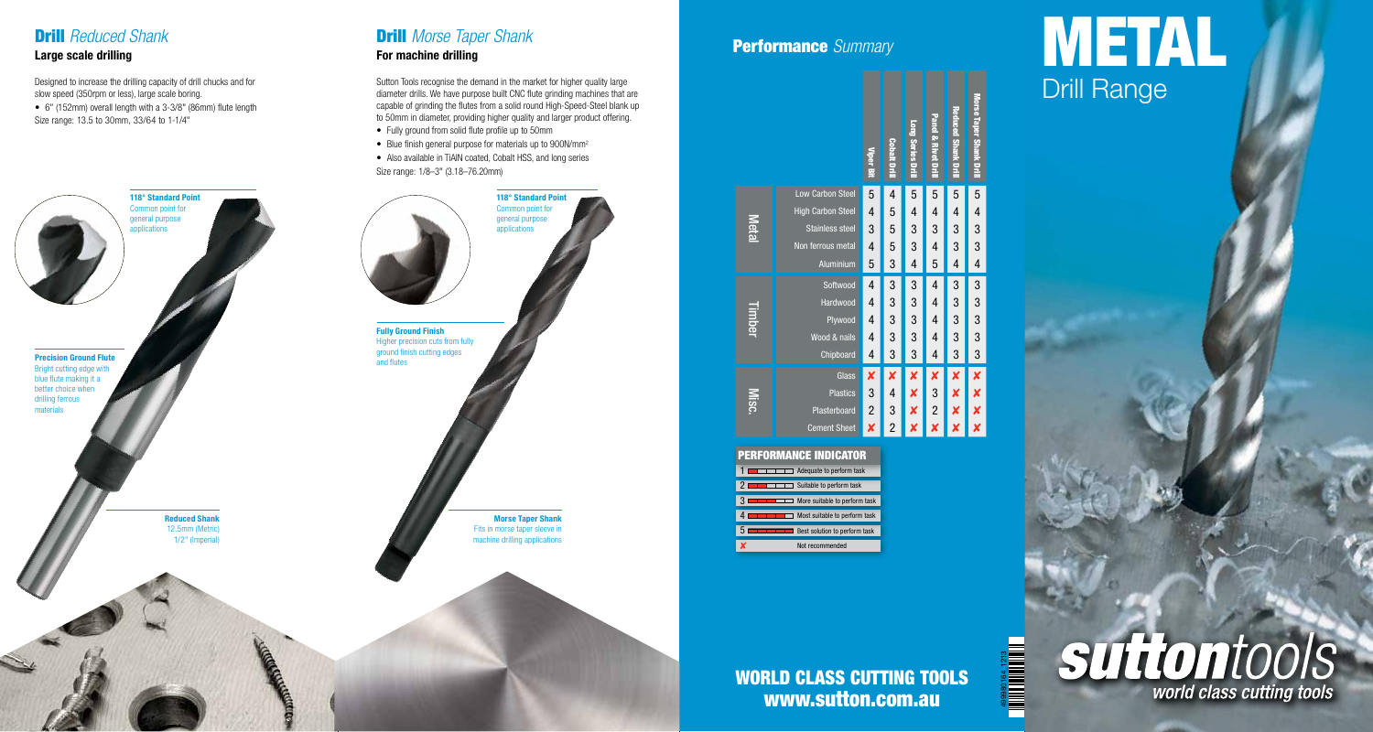# Drill *Reduced Shank*

### Large scale drilling

slow speed (350rpm or less), large scale boring.

• 6" (152mm) overall length with a 3-3/8" (86mm) flute length Size range: 13.5 to 30mm, 33/64 to 1-1/4"



## Drill *Morse Taper Shank* For machine drilling

Designed to increase the drilling capacity of drill chucks and for Sutton Tools recognise the demand in the market for higher quality large<br>slow speed (350rpm or less), large scale boring. **Drill Range** Sutton Tools recognise the demand in the market for higher quality large diameter drills. We have purpose built CNC flute grinding machines that are capable of grinding the flutes from a solid round High-Speed-Steel blank up to 50mm in diameter, providing higher quality and larger product offering.

- Fully ground from solid flute profile up to 50mm
- Blue finish general purpose for materials up to 900N/mm<sup>2</sup>
- Also available in TiAIN coated, Cobalt HSS, and long series Size range: 1/8–3" (3.18–76.20mm)

Morse Taper Shank Fits in morse taper sleeve in machine drilling applications

# Performance *Summary*



#### Best solution to perform task Not recommend  $\Box$  Most suitable to perform task  $\blacksquare$  More suitable to perform task 2 **2 Built 1999** Suitable to perform task 1 **Adequate to perform task** PERFORMANCE Indicator

# **WORLD CLASS CUTTING TOOLS** www.sutton.com.au

499980164\_1213

# METAL